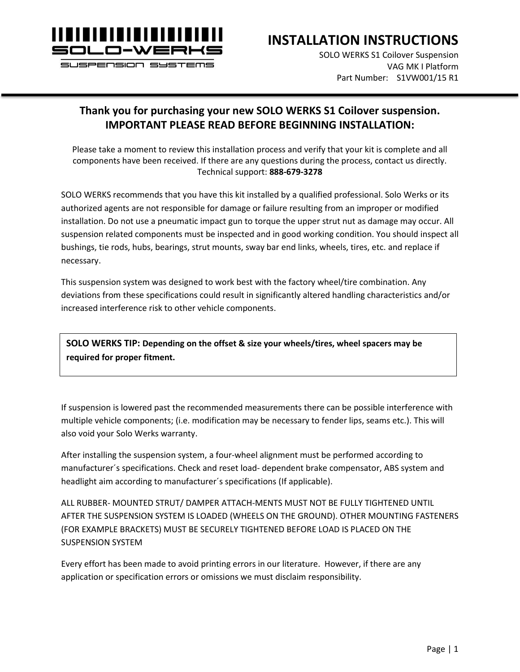

**INSTALLATION INSTRUCTIONS**

SOLO WERKS S1 Coilover Suspension VAG MK I Platform Part Number: S1VW001/15 R1

## **Thank you for purchasing your new SOLO WERKS S1 Coilover suspension. IMPORTANT PLEASE READ BEFORE BEGINNING INSTALLATION:**

Please take a moment to review this installation process and verify that your kit is complete and all components have been received. If there are any questions during the process, contact us directly. Technical support: **888-679-3278**

SOLO WERKS recommends that you have this kit installed by a qualified professional. Solo Werks or its authorized agents are not responsible for damage or failure resulting from an improper or modified installation. Do not use a pneumatic impact gun to torque the upper strut nut as damage may occur. All suspension related components must be inspected and in good working condition. You should inspect all bushings, tie rods, hubs, bearings, strut mounts, sway bar end links, wheels, tires, etc. and replace if necessary.

This suspension system was designed to work best with the factory wheel/tire combination. Any deviations from these specifications could result in significantly altered handling characteristics and/or increased interference risk to other vehicle components.

**SOLO WERKS TIP: Depending on the offset & size your wheels/tires, wheel spacers may be required for proper fitment.**

If suspension is lowered past the recommended measurements there can be possible interference with multiple vehicle components; (i.e. modification may be necessary to fender lips, seams etc.). This will also void your Solo Werks warranty.

After installing the suspension system, a four-wheel alignment must be performed according to manufacturer´s specifications. Check and reset load- dependent brake compensator, ABS system and headlight aim according to manufacturer´s specifications (If applicable).

ALL RUBBER- MOUNTED STRUT/ DAMPER ATTACH-MENTS MUST NOT BE FULLY TIGHTENED UNTIL AFTER THE SUSPENSION SYSTEM IS LOADED (WHEELS ON THE GROUND). OTHER MOUNTING FASTENERS (FOR EXAMPLE BRACKETS) MUST BE SECURELY TIGHTENED BEFORE LOAD IS PLACED ON THE SUSPENSION SYSTEM

Every effort has been made to avoid printing errors in our literature. However, if there are any application or specification errors or omissions we must disclaim responsibility.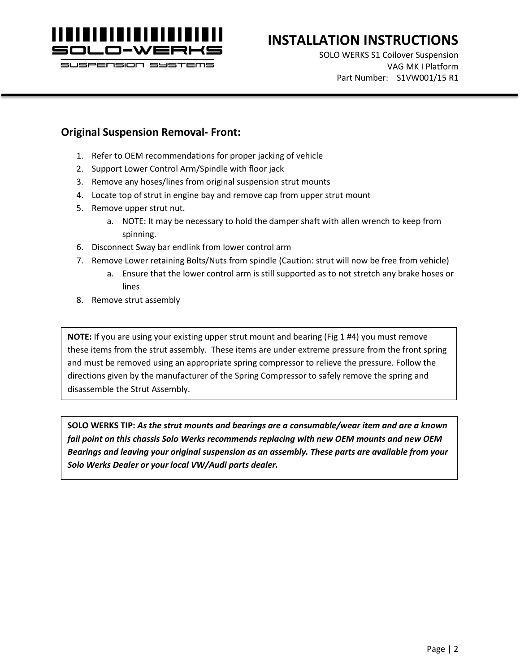

# **INSTALLATION INSTRUCTIONS**

SOLO WERKS S1 Coilover Suspension VAG MK I Platform Part Number: S1VW001/15 R1

### **Original Suspension Removal- Front:**

- 1. Refer to OEM recommendations for proper jacking of vehicle
- 2. Support Lower Control Arm/Spindle with floor jack
- 3. Remove any hoses/lines from original suspension strut mounts
- 4. Locate top of strut in engine bay and remove cap from upper strut mount
- 5. Remove upper strut nut.
	- a. NOTE: It may be necessary to hold the damper shaft with allen wrench to keep from spinning.
- 6. Disconnect Sway bar endlink from lower control arm
- 7. Remove Lower retaining Bolts/Nuts from spindle (Caution: strut will now be free from vehicle)
	- a. Ensure that the lower control arm is still supported as to not stretch any brake hoses or lines
- 8. Remove strut assembly

**NOTE:** If you are using your existing upper strut mount and bearing (Fig 1 #4) you must remove these items from the strut assembly. These items are under extreme pressure from the front spring and must be removed using an appropriate spring compressor to relieve the pressure. Follow the directions given by the manufacturer of the Spring Compressor to safely remove the spring and disassemble the Strut Assembly.

**SOLO WERKS TIP:** *As the strut mounts and bearings are a consumable/wear item and are a known fail point on this chassis Solo Werks recommends replacing with new OEM mounts and new OEM Bearings and leaving your original suspension as an assembly. These parts are available from your Solo Werks Dealer or your local VW/Audi parts dealer.*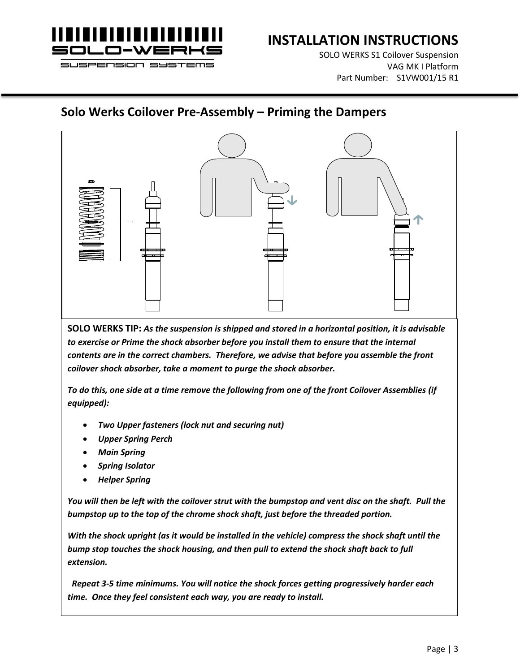

SOLO WERKS S1 Coilover Suspension VAG MK I Platform Part Number: S1VW001/15 R1

# **Solo Werks Coilover Pre-Assembly – Priming the Dampers**



**SOLO WERKS TIP:** *As the suspension is shipped and stored in a horizontal position, it is advisable*  to exercise or Prime the shock absorber before you install them to ensure that the internal *contents are in the correct chambers. Therefore, we advise that before you assemble the front coilover shock absorber, take a moment to purge the shock absorber.* 

*To do this, one side at a time remove the following from one of the front Coilover Assemblies (if equipped):*

- *Two Upper fasteners (lock nut and securing nut)*
- *Upper Spring Perch*
- *Main Spring*
- *Spring Isolator*
- *Helper Spring*

*You will then be left with the coilover strut with the bumpstop and vent disc on the shaft. Pull the bumpstop up to the top of the chrome shock shaft, just before the threaded portion.* 

*With the shock upright (as it would be installed in the vehicle) compress the shock shaft until the bump stop touches the shock housing, and then pull to extend the shock shaft back to full extension.*

 *Repeat 3-5 time minimums. You will notice the shock forces getting progressively harder each time. Once they feel consistent each way, you are ready to install.*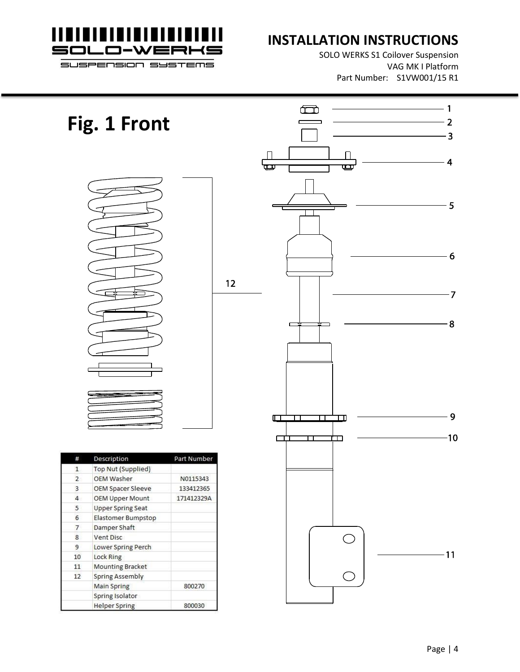

# **INSTALLATION INSTRUCTIONS**

SOLO WERKS S1 Coilover Suspension VAG MK I Platform Part Number: S1VW001/15 R1

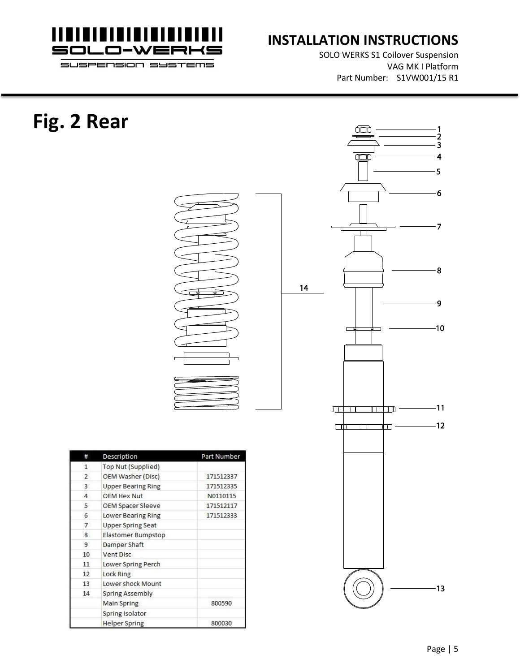

SOLO WERKS S1 Coilover Suspension VAG MK I Platform Part Number: S1VW001/15 R1

| Fig. 2 Rear |                                            |             |    | 2<br>3<br>Œ<br>4<br>5<br>$6\overline{6}$<br>$\overline{7}$ |
|-------------|--------------------------------------------|-------------|----|------------------------------------------------------------|
|             |                                            |             | 14 | $\overline{\mathbf{8}}$<br>$\cdot$ 9                       |
|             |                                            |             |    |                                                            |
|             |                                            |             |    | -10                                                        |
|             | Description<br>#                           | Part Number |    | 11<br>$\Box$<br>────────<br>$-12$<br>$\Box$<br>Ш           |
|             | <b>Top Nut (Supplied)</b><br>$\mathbf{1}$  |             |    |                                                            |
|             | <b>OEM Washer (Disc)</b><br>$\overline{2}$ | 171512337   |    |                                                            |
|             | 3<br><b>Upper Bearing Ring</b>             | 171512335   |    |                                                            |
|             | OEM Hex Nut<br>$\overline{4}$              | N0110115    |    |                                                            |
|             | 5<br><b>OEM Spacer Sleeve</b>              | 171512117   |    |                                                            |
|             | $6\phantom{a}$<br>Lower Bearing Ring       | 171512333   |    |                                                            |
|             | $\overline{7}$<br><b>Upper Spring Seat</b> |             |    |                                                            |
|             | Elastomer Bumpstop<br>$\bf{8}$             |             |    |                                                            |
|             | 9<br>Damper Shaft                          |             |    |                                                            |
|             | Vent Disc<br>10                            |             |    |                                                            |
|             | Lower Spring Perch<br>11                   |             |    |                                                            |
|             | Lock Ring<br>12                            |             |    |                                                            |
|             | Lower shock Mount<br>13                    |             |    |                                                            |
|             | 14 <sup>°</sup><br><b>Spring Assembly</b>  |             |    | $-13$                                                      |
|             | <b>Main Spring</b>                         | 800590      |    |                                                            |
|             | Spring Isolator                            |             |    |                                                            |
|             | <b>Helper Spring</b>                       | 800030      |    |                                                            |
|             |                                            |             |    |                                                            |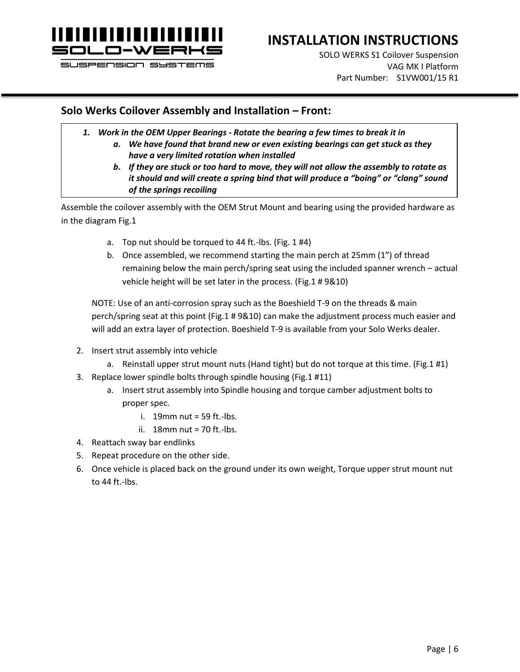

# **INSTALLATION INSTRUCTIONS**

SOLO WERKS S1 Coilover Suspension VAG MK I Platform Part Number: S1VW001/15 R1

### **Solo Werks Coilover Assembly and Installation – Front:**

- *1. Work in the OEM Upper Bearings - Rotate the bearing a few times to break it in*
	- *a. We have found that brand new or even existing bearings can get stuck as they have a very limited rotation when installed*
	- *b. If they are stuck or too hard to move, they will not allow the assembly to rotate as it should and will create a spring bind that will produce a "boing" or "clang" sound of the springs recoiling*

Assemble the coilover assembly with the OEM Strut Mount and bearing using the provided hardware as in the diagram Fig.1

- a. Top nut should be torqued to 44 ft.-lbs. (Fig. 1 #4)
- b. Once assembled, we recommend starting the main perch at 25mm (1") of thread remaining below the main perch/spring seat using the included spanner wrench – actual vehicle height will be set later in the process. (Fig.1 # 9&10)

NOTE: Use of an anti-corrosion spray such as the Boeshield T-9 on the threads & main perch/spring seat at this point (Fig.1 # 9&10) can make the adjustment process much easier and will add an extra layer of protection. Boeshield T-9 is available from your Solo Werks dealer.

- 2. Insert strut assembly into vehicle
	- a. Reinstall upper strut mount nuts (Hand tight) but do not torque at this time. (Fig.1 #1)
- 3. Replace lower spindle bolts through spindle housing (Fig.1 #11)
	- a. Insert strut assembly into Spindle housing and torque camber adjustment bolts to proper spec.
		- i.  $19$ mm nut = 59 ft.-lbs.
		- ii. 18mm nut = 70 ft.-lbs.
- 4. Reattach sway bar endlinks
- 5. Repeat procedure on the other side.
- 6. Once vehicle is placed back on the ground under its own weight, Torque upper strut mount nut to 44 ft.-lbs.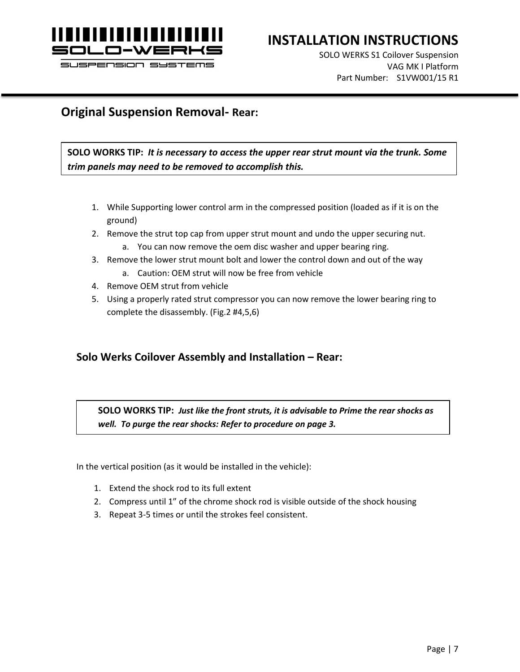

SOLO WERKS S1 Coilover Suspension VAG MK I Platform Part Number: S1VW001/15 R1

## **Original Suspension Removal- Rear:**

**SOLO WORKS TIP:** *It is necessary to access the upper rear strut mount via the trunk. Some trim panels may need to be removed to accomplish this.*

- 1. While Supporting lower control arm in the compressed position (loaded as if it is on the ground)
- 2. Remove the strut top cap from upper strut mount and undo the upper securing nut.
	- a. You can now remove the oem disc washer and upper bearing ring.
- 3. Remove the lower strut mount bolt and lower the control down and out of the way
	- a. Caution: OEM strut will now be free from vehicle
- 4. Remove OEM strut from vehicle
- 5. Using a properly rated strut compressor you can now remove the lower bearing ring to complete the disassembly. (Fig.2 #4,5,6)

## **Solo Werks Coilover Assembly and Installation – Rear:**

**SOLO WORKS TIP:** *Just like the front struts, it is advisable to Prime the rear shocks as well. To purge the rear shocks: Refer to procedure on page 3.*

In the vertical position (as it would be installed in the vehicle):

- 1. Extend the shock rod to its full extent
- 2. Compress until 1" of the chrome shock rod is visible outside of the shock housing
- 3. Repeat 3-5 times or until the strokes feel consistent.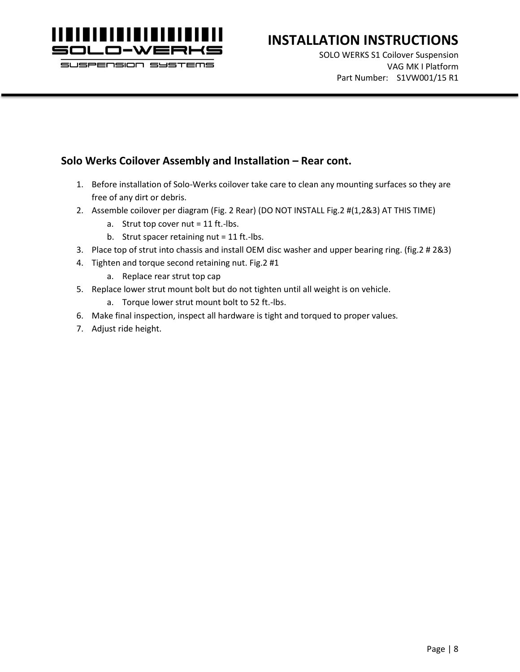

# **INSTALLATION INSTRUCTIONS**

SOLO WERKS S1 Coilover Suspension VAG MK I Platform Part Number: S1VW001/15 R1

### **Solo Werks Coilover Assembly and Installation – Rear cont.**

- 1. Before installation of Solo-Werks coilover take care to clean any mounting surfaces so they are free of any dirt or debris.
- 2. Assemble coilover per diagram (Fig. 2 Rear) (DO NOT INSTALL Fig.2 #(1,2&3) AT THIS TIME)
	- a. Strut top cover nut  $= 11$  ft.-lbs.
	- b. Strut spacer retaining nut = 11 ft.-lbs.
- 3. Place top of strut into chassis and install OEM disc washer and upper bearing ring. (fig.2 # 2&3)
- 4. Tighten and torque second retaining nut. Fig.2 #1
	- a. Replace rear strut top cap
- 5. Replace lower strut mount bolt but do not tighten until all weight is on vehicle.
	- a. Torque lower strut mount bolt to 52 ft.-lbs.
- 6. Make final inspection, inspect all hardware is tight and torqued to proper values.
- 7. Adjust ride height.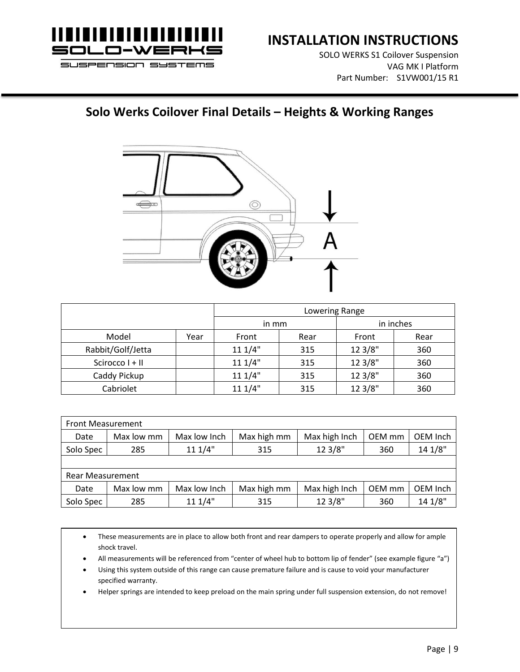

SOLO WERKS S1 Coilover Suspension VAG MK I Platform Part Number: S1VW001/15 R1

# **Solo Werks Coilover Final Details – Heights & Working Ranges**



|                   |      | Lowering Range |      |           |      |  |
|-------------------|------|----------------|------|-----------|------|--|
|                   |      | in mm          |      | in inches |      |  |
| Model             | Year | Front          | Rear | Front     | Rear |  |
| Rabbit/Golf/Jetta |      | 111/4"         | 315  | 12 3/8"   | 360  |  |
| Scirocco I + II   |      | 111/4"         | 315  | 12 3/8"   | 360  |  |
| Caddy Pickup      |      | 111/4"         | 315  | 12 3/8"   | 360  |  |
| Cabriolet         |      | 111/4"         | 315  | 12 3/8"   | 360  |  |

| <b>Front Measurement</b> |            |              |             |               |        |          |  |
|--------------------------|------------|--------------|-------------|---------------|--------|----------|--|
| Date                     | Max low mm | Max low Inch | Max high mm | Max high Inch | OEM mm | OEM Inch |  |
| Solo Spec                | 285        | 111/4"       | 315         | 12 3/8"       | 360    | 14 1/8"  |  |
|                          |            |              |             |               |        |          |  |
| <b>Rear Measurement</b>  |            |              |             |               |        |          |  |
| Date                     | Max low mm | Max low Inch | Max high mm | Max high Inch | OEM mm | OEM Inch |  |
| Solo Spec                | 285        | 111/4"       | 315         | 12 3/8"       | 360    | 14 1/8"  |  |

• These measurements are in place to allow both front and rear dampers to operate properly and allow for ample shock travel.

- All measurements will be referenced from "center of wheel hub to bottom lip of fender" (see example figure "a")
- Using this system outside of this range can cause premature failure and is cause to void your manufacturer specified warranty.
- Helper springs are intended to keep preload on the main spring under full suspension extension, do not remove!